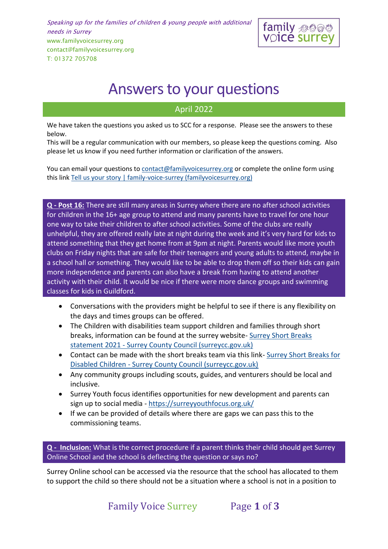Speaking up for the families of children & young people with additional needs in Surrey www.familyvoicesurrey.org contact@familyvoicesurrey.org T: 01372 705708



# Answers to your questions

# April 2022

We have taken the questions you asked us to SCC for a response. Please see the answers to these below.

This will be a regular communication with our members, so please keep the questions coming. Also please let us know if you need further information or clarification of the answers.

You can email your questions t[o contact@familyvoicesurrey.org](mailto:contact@familyvoicesurrey.org) or complete the online form using this link [Tell us your story | family-voice-surrey \(familyvoicesurrey.org\)](https://www.familyvoicesurrey.org/tell-us-your-story)

**Q - Post 16:** There are still many areas in Surrey where there are no after school activities for children in the 16+ age group to attend and many parents have to travel for one hour one way to take their children to after school activities. Some of the clubs are really unhelpful, they are offered really late at night during the week and it's very hard for kids to attend something that they get home from at 9pm at night. Parents would like more youth clubs on Friday nights that are safe for their teenagers and young adults to attend, maybe in a school hall or something. They would like to be able to drop them off so their kids can gain more independence and parents can also have a break from having to attend another activity with their child. It would be nice if there were more dance groups and swimming classes for kids in Guildford.

- Conversations with the providers might be helpful to see if there is any flexibility on the days and times groups can be offered.
- The Children with disabilities team support children and families through short breaks, information can be found at the surrey website- [Surrey Short Breaks](https://www.surreycc.gov.uk/children/support-for-children-with-disabilities/surrey-short-breaks-for-disabled-children/surrey-short-breaks-statement)  statement 2021 - [Surrey County Council \(surreycc.gov.uk\)](https://www.surreycc.gov.uk/children/support-for-children-with-disabilities/surrey-short-breaks-for-disabled-children/surrey-short-breaks-statement)
- Contact can be made with the short breaks team via this link- Surrey Short Breaks for Disabled Children - [Surrey County Council \(surreycc.gov.uk\)](https://www.surreycc.gov.uk/children/support-for-children-with-disabilities/surrey-short-breaks-for-disabled-children#:~:text=If%20you%20want%20to%20get,shortbreaks%40surreycc.gov.uk)
- Any community groups including scouts, guides, and venturers should be local and inclusive.
- Surrey Youth focus identifies opportunities for new development and parents can sign up to social media - <https://surreyyouthfocus.org.uk/>
- If we can be provided of details where there are gaps we can pass this to the commissioning teams.

**Q - Inclusion:** What is the correct procedure if a parent thinks their child should get Surrey Online School and the school is deflecting the question or says no?

Surrey Online school can be accessed via the resource that the school has allocated to them to support the child so there should not be a situation where a school is not in a position to

Family Voice Surrey Page **1** of **3**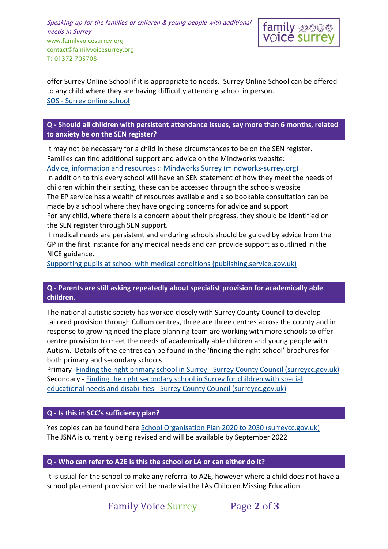Speaking up for the families of children & young people with additional needs in Surrey www.familyvoicesurrey.org contact@familyvoicesurrey.org T: 01372 705708



offer Surrey Online School if it is appropriate to needs. Surrey Online School can be offered to any child where they are having difficulty attending school in person. SOS - [Surrey online school](https://www.surreyonlineschool.co.uk/)

**Q - Should all children with persistent attendance issues, say more than 6 months, related to anxiety be on the SEN register?** 

It may not be necessary for a child in these circumstances to be on the SEN register. Families can find additional support and advice on the Mindworks website: [Advice, information and resources :: Mindworks Surrey \(mindworks-surrey.org\)](https://www.mindworks-surrey.org/advice-information-and-resources)

In addition to this every school will have an SEN statement of how they meet the needs of children within their setting, these can be accessed through the schools website The EP service has a wealth of resources available and also bookable consultation can be made by a school where they have ongoing concerns for advice and support For any child, where there is a concern about their progress, they should be identified on the SEN register through SEN support.

If medical needs are persistent and enduring schools should be guided by advice from the GP in the first instance for any medical needs and can provide support as outlined in the NICE guidance.

[Supporting pupils at school with medical conditions \(publishing.service.gov.uk\)](https://assets.publishing.service.gov.uk/government/uploads/system/uploads/attachment_data/file/803956/supporting-pupils-at-school-with-medical-conditions.pdf)

## **Q - Parents are still asking repeatedly about specialist provision for academically able children.**

The national autistic society has worked closely with Surrey County Council to develop tailored provision through Cullum centres, three are three centres across the county and in response to growing need the place planning team are working with more schools to offer centre provision to meet the needs of academically able children and young people with Autism. Details of the centres can be found in the 'finding the right school' brochures for both primary and secondary schools.

Primary- [Finding the right primary school in Surrey -](https://www.surreycc.gov.uk/schools-and-learning/schools/admissions/child-with-a-ehcp/finding-the-right-primary-school-in-surrey-our-guide-to-schools-for-children-with-special-educational-needs-and-disabilities-in-surrey#section-6) Surrey County Council (surreycc.gov.uk) Secondary - [Finding the right secondary school in Surrey for children with special](https://www.surreycc.gov.uk/schools-and-learning/schools/admissions/child-with-a-ehcp/finding-the-right-secondary-school-in-surrey#cullumcentres)  educational needs and disabilities - [Surrey County Council \(surreycc.gov.uk\)](https://www.surreycc.gov.uk/schools-and-learning/schools/admissions/child-with-a-ehcp/finding-the-right-secondary-school-in-surrey#cullumcentres)

#### **Q - Is this in SCC's sufficiency plan?**

Yes copies can be found here [School Organisation Plan 2020 to 2030 \(surreycc.gov.uk\)](https://www.surreycc.gov.uk/__data/assets/pdf_file/0011/256754/School-Organisation-Plan-2020-30.pdf) The JSNA is currently being revised and will be available by September 2022

#### **Q - Who can refer to A2E is this the school or LA or can either do it?**

It is usual for the school to make any referral to A2E, however where a child does not have a school placement provision will be made via the LAs Children Missing Education

Family Voice Surrey Page **2** of **3**